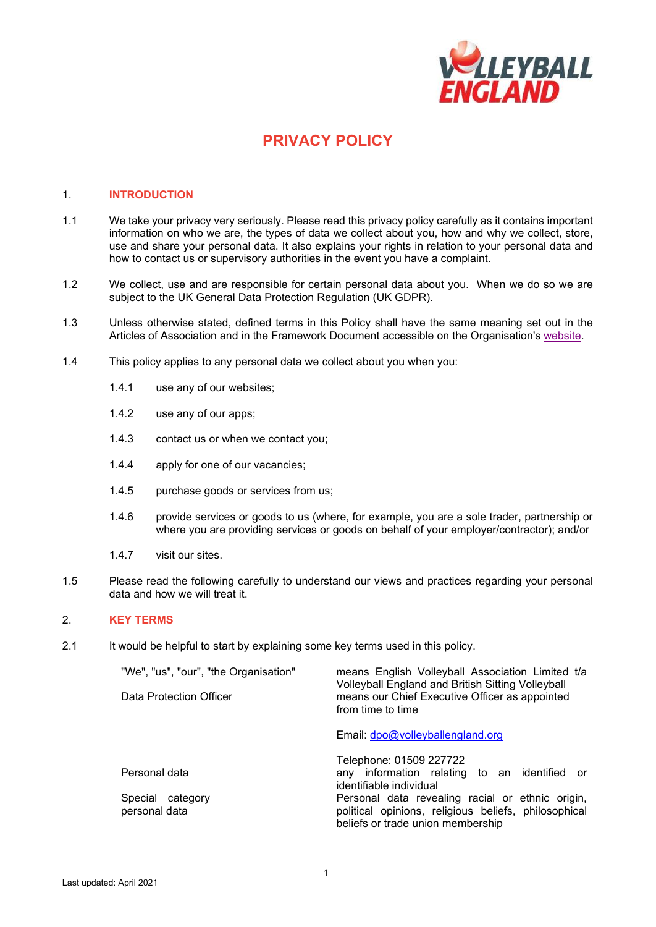

# **PRIVACY POLICY**

#### 1. **INTRODUCTION**

- 1.1 We take your privacy very seriously. Please read this privacy policy carefully as it contains important information on who we are, the types of data we collect about you, how and why we collect, store, use and share your personal data. It also explains your rights in relation to your personal data and how to contact us or supervisory authorities in the event you have a complaint.
- 1.2 We collect, use and are responsible for certain personal data about you. When we do so we are subject to the UK General Data Protection Regulation (UK GDPR).
- 1.3 Unless otherwise stated, defined terms in this Policy shall have the same meaning set out in the Articles of Association and in the Framework Document accessible on the Organisation's [website.](http://www.volleyballengland.org/about_us/about_us_/governance)
- 1.4 This policy applies to any personal data we collect about you when you:
	- 1.4.1 use any of our websites;
	- 1.4.2 use any of our apps;
	- 1.4.3 contact us or when we contact you;
	- 1.4.4 apply for one of our vacancies;
	- 1.4.5 purchase goods or services from us;
	- 1.4.6 provide services or goods to us (where, for example, you are a sole trader, partnership or where you are providing services or goods on behalf of your employer/contractor); and/or
	- 1.4.7 visit our sites.
- 1.5 Please read the following carefully to understand our views and practices regarding your personal data and how we will treat it.

## 2. **KEY TERMS**

2.1 It would be helpful to start by explaining some key terms used in this policy.

| "We", "us", "our", "the Organisation"<br>Data Protection Officer | means English Volleyball Association Limited t/a<br>Volleyball England and British Sitting Volleyball<br>means our Chief Executive Officer as appointed<br>from time to time |
|------------------------------------------------------------------|------------------------------------------------------------------------------------------------------------------------------------------------------------------------------|
|                                                                  | Email: dpo@volleyballengland.org                                                                                                                                             |
|                                                                  | Telephone: 01509 227722                                                                                                                                                      |
| Personal data                                                    | any information relating to an identified or<br>identifiable individual                                                                                                      |
| Special category<br>personal data                                | Personal data revealing racial or ethnic origin,<br>political opinions, religious beliefs, philosophical<br>beliefs or trade union membership                                |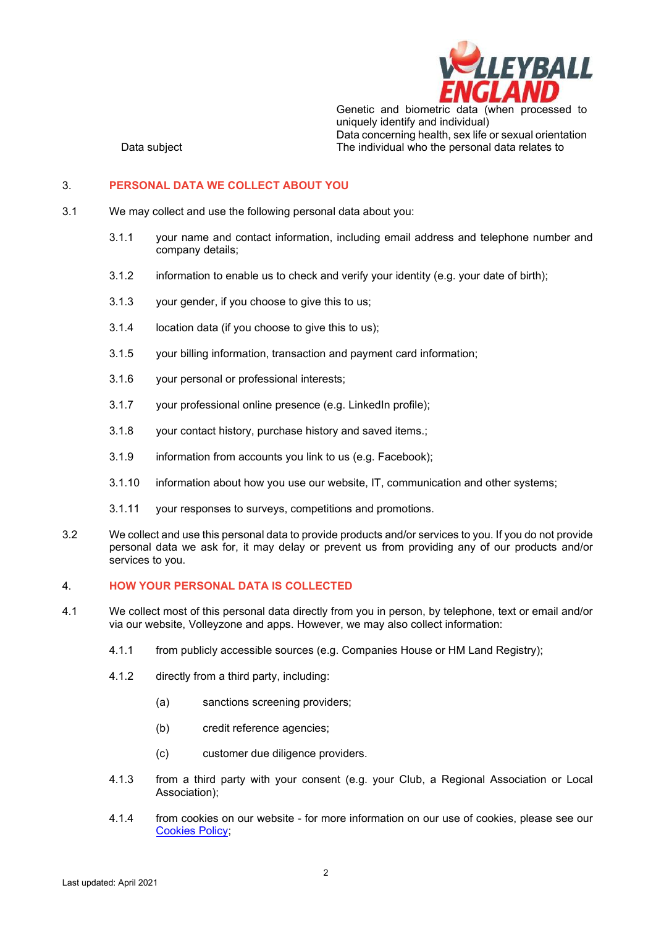

Genetic and biometric data (when processed to uniquely identify and individual) Data concerning health, sex life or sexual orientation Data subject **The individual who the personal data relates to** 

# 3. **PERSONAL DATA WE COLLECT ABOUT YOU**

- 3.1 We may collect and use the following personal data about you:
	- 3.1.1 your name and contact information, including email address and telephone number and company details;
	- 3.1.2 information to enable us to check and verify your identity (e.g. your date of birth);
	- 3.1.3 your gender, if you choose to give this to us;
	- 3.1.4 location data (if you choose to give this to us);
	- 3.1.5 your billing information, transaction and payment card information;
	- 3.1.6 your personal or professional interests;
	- 3.1.7 your professional online presence (e.g. LinkedIn profile);
	- 3.1.8 your contact history, purchase history and saved items.;
	- 3.1.9 information from accounts you link to us (e.g. Facebook);
	- 3.1.10 information about how you use our website, IT, communication and other systems;
	- 3.1.11 your responses to surveys, competitions and promotions.
- 3.2 We collect and use this personal data to provide products and/or services to you. If you do not provide personal data we ask for, it may delay or prevent us from providing any of our products and/or services to you.

### 4. **HOW YOUR PERSONAL DATA IS COLLECTED**

- 4.1 We collect most of this personal data directly from you in person, by telephone, text or email and/or via our website, Volleyzone and apps. However, we may also collect information:
	- 4.1.1 from publicly accessible sources (e.g. Companies House or HM Land Registry);
	- 4.1.2 directly from a third party, including:
		- (a) sanctions screening providers;
		- (b) credit reference agencies;
		- (c) customer due diligence providers.
	- 4.1.3 from a third party with your consent (e.g. your Club, a Regional Association or Local Association);
	- 4.1.4 from cookies on our website for more information on our use of cookies, please see our [Cookies Policy;](https://www.volleyballengland.org/about_us/about_us_/governance)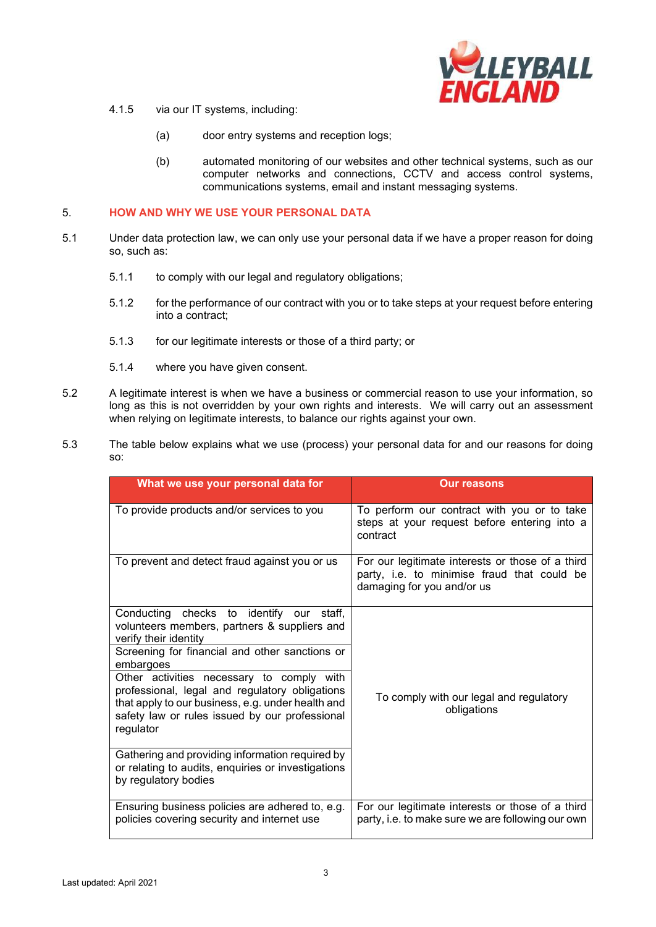

- 4.1.5 via our IT systems, including:
	- (a) door entry systems and reception logs;
	- (b) automated monitoring of our websites and other technical systems, such as our computer networks and connections, CCTV and access control systems, communications systems, email and instant messaging systems.

# 5. **HOW AND WHY WE USE YOUR PERSONAL DATA**

- 5.1 Under data protection law, we can only use your personal data if we have a proper reason for doing so, such as:
	- 5.1.1 to comply with our legal and regulatory obligations;
	- 5.1.2 for the performance of our contract with you or to take steps at your request before entering into a contract;
	- 5.1.3 for our legitimate interests or those of a third party; or
	- 5.1.4 where you have given consent.
- 5.2 A legitimate interest is when we have a business or commercial reason to use your information, so long as this is not overridden by your own rights and interests. We will carry out an assessment when relying on legitimate interests, to balance our rights against your own.
- 5.3 The table below explains what we use (process) your personal data for and our reasons for doing so:

| What we use your personal data for                                                                                                                                                                              | <b>Our reasons</b>                                                                                                            |
|-----------------------------------------------------------------------------------------------------------------------------------------------------------------------------------------------------------------|-------------------------------------------------------------------------------------------------------------------------------|
| To provide products and/or services to you                                                                                                                                                                      | To perform our contract with you or to take<br>steps at your request before entering into a<br>contract                       |
| To prevent and detect fraud against you or us                                                                                                                                                                   | For our legitimate interests or those of a third<br>party, i.e. to minimise fraud that could be<br>damaging for you and/or us |
| Conducting checks to identify<br>our staff.<br>volunteers members, partners & suppliers and<br>verify their identity                                                                                            |                                                                                                                               |
| Screening for financial and other sanctions or<br>embargoes                                                                                                                                                     |                                                                                                                               |
| Other activities necessary to comply with<br>professional, legal and regulatory obligations<br>that apply to our business, e.g. under health and<br>safety law or rules issued by our professional<br>regulator | To comply with our legal and regulatory<br>obligations                                                                        |
| Gathering and providing information required by<br>or relating to audits, enquiries or investigations<br>by regulatory bodies                                                                                   |                                                                                                                               |
| Ensuring business policies are adhered to, e.g.<br>policies covering security and internet use                                                                                                                  | For our legitimate interests or those of a third<br>party, i.e. to make sure we are following our own                         |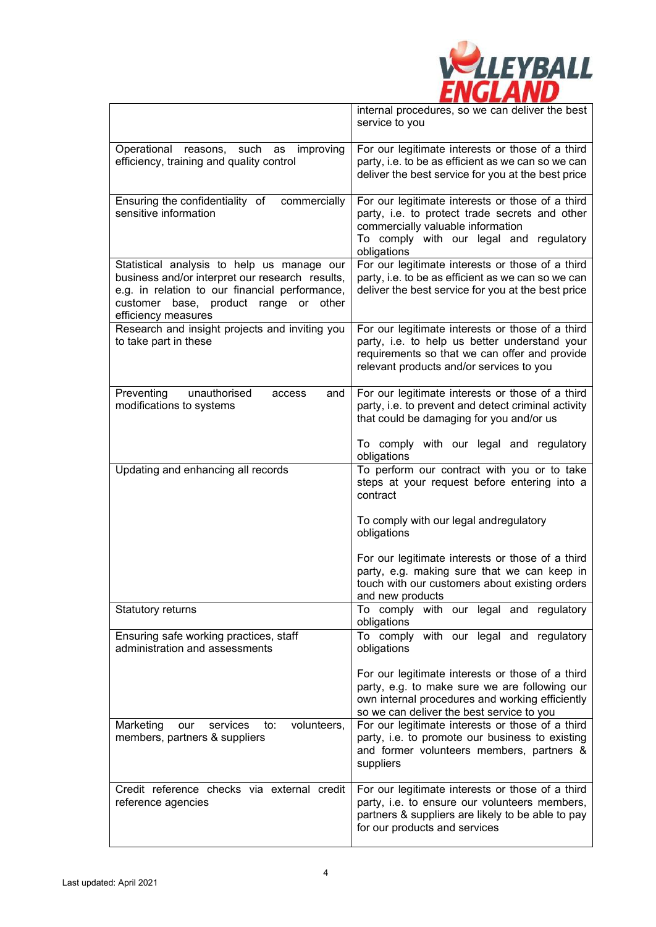

|                                                                                                                                                                                                                 | internal procedures, so we can deliver the best<br>service to you                                                                                                                                 |
|-----------------------------------------------------------------------------------------------------------------------------------------------------------------------------------------------------------------|---------------------------------------------------------------------------------------------------------------------------------------------------------------------------------------------------|
| Operational reasons, such as<br>improving<br>efficiency, training and quality control                                                                                                                           | For our legitimate interests or those of a third<br>party, i.e. to be as efficient as we can so we can<br>deliver the best service for you at the best price                                      |
| Ensuring the confidentiality of<br>commercially<br>sensitive information                                                                                                                                        | For our legitimate interests or those of a third<br>party, i.e. to protect trade secrets and other<br>commercially valuable information<br>To comply with our legal and regulatory<br>obligations |
| Statistical analysis to help us manage our<br>business and/or interpret our research results,<br>e.g. in relation to our financial performance,<br>customer base, product range or other<br>efficiency measures | For our legitimate interests or those of a third<br>party, i.e. to be as efficient as we can so we can<br>deliver the best service for you at the best price                                      |
| Research and insight projects and inviting you<br>to take part in these                                                                                                                                         | For our legitimate interests or those of a third<br>party, i.e. to help us better understand your<br>requirements so that we can offer and provide<br>relevant products and/or services to you    |
| Preventing<br>unauthorised<br>and<br>access<br>modifications to systems                                                                                                                                         | For our legitimate interests or those of a third<br>party, i.e. to prevent and detect criminal activity<br>that could be damaging for you and/or us<br>To comply with our legal and regulatory    |
|                                                                                                                                                                                                                 | obligations                                                                                                                                                                                       |
| Updating and enhancing all records                                                                                                                                                                              | To perform our contract with you or to take<br>steps at your request before entering into a<br>contract                                                                                           |
|                                                                                                                                                                                                                 | To comply with our legal andregulatory<br>obligations                                                                                                                                             |
|                                                                                                                                                                                                                 | For our legitimate interests or those of a third<br>party, e.g. making sure that we can keep in<br>touch with our customers about existing orders<br>and new products                             |
| Statutory returns                                                                                                                                                                                               | To comply with our legal and regulatory<br>obligations                                                                                                                                            |
| Ensuring safe working practices, staff<br>administration and assessments                                                                                                                                        | with our legal and regulatory<br>To comply<br>obligations                                                                                                                                         |
|                                                                                                                                                                                                                 | For our legitimate interests or those of a third<br>party, e.g. to make sure we are following our<br>own internal procedures and working efficiently<br>so we can deliver the best service to you |
| Marketing<br>services<br>volunteers,<br>our<br>to:<br>members, partners & suppliers                                                                                                                             | For our legitimate interests or those of a third<br>party, i.e. to promote our business to existing<br>and former volunteers members, partners &<br>suppliers                                     |
| Credit reference checks via external credit<br>reference agencies                                                                                                                                               | For our legitimate interests or those of a third<br>party, i.e. to ensure our volunteers members,<br>partners & suppliers are likely to be able to pay<br>for our products and services           |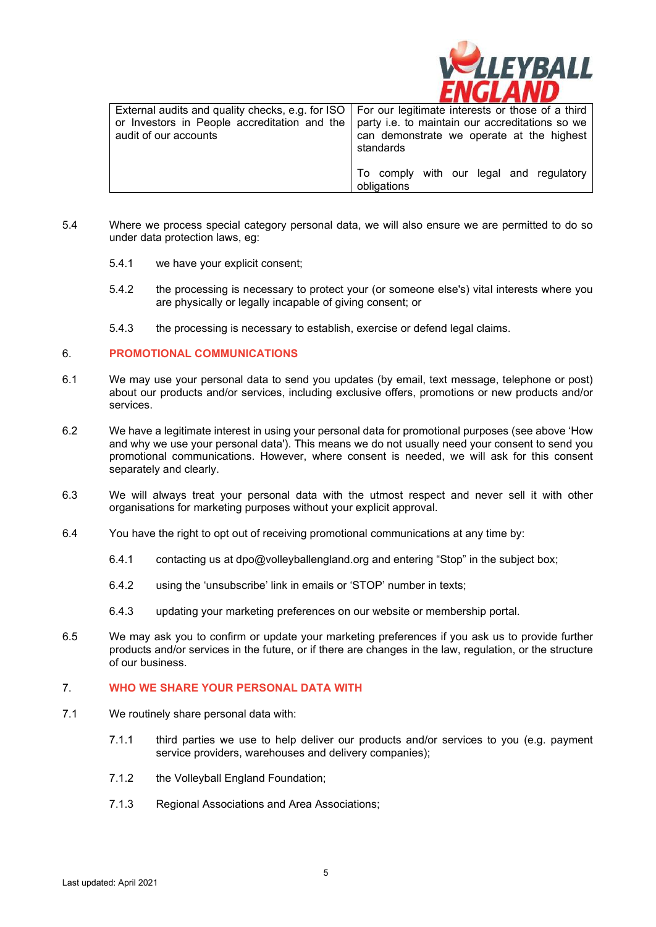

| External audits and quality checks, e.g. for ISO   For our legitimate interests or those of a third<br>or Investors in People accreditation and the   party i.e. to maintain our accreditations so we |                                                        |
|-------------------------------------------------------------------------------------------------------------------------------------------------------------------------------------------------------|--------------------------------------------------------|
| audit of our accounts                                                                                                                                                                                 | can demonstrate we operate at the highest              |
|                                                                                                                                                                                                       | standards                                              |
|                                                                                                                                                                                                       | To comply with our legal and regulatory<br>obligations |

- 5.4 Where we process special category personal data, we will also ensure we are permitted to do so under data protection laws, eg:
	- 5.4.1 we have your explicit consent;
	- 5.4.2 the processing is necessary to protect your (or someone else's) vital interests where you are physically or legally incapable of giving consent; or
	- 5.4.3 the processing is necessary to establish, exercise or defend legal claims.

#### 6. **PROMOTIONAL COMMUNICATIONS**

- 6.1 We may use your personal data to send you updates (by email, text message, telephone or post) about our products and/or services, including exclusive offers, promotions or new products and/or services.
- 6.2 We have a legitimate interest in using your personal data for promotional purposes (see above 'How and why we use your personal data'). This means we do not usually need your consent to send you promotional communications. However, where consent is needed, we will ask for this consent separately and clearly.
- 6.3 We will always treat your personal data with the utmost respect and never sell it with other organisations for marketing purposes without your explicit approval.
- 6.4 You have the right to opt out of receiving promotional communications at any time by:
	- 6.4.1 contacting us at dpo@volleyballengland.org and entering "Stop" in the subject box;
	- 6.4.2 using the 'unsubscribe' link in emails or 'STOP' number in texts;
	- 6.4.3 updating your marketing preferences on our website or membership portal.
- 6.5 We may ask you to confirm or update your marketing preferences if you ask us to provide further products and/or services in the future, or if there are changes in the law, regulation, or the structure of our business.

#### 7. **WHO WE SHARE YOUR PERSONAL DATA WITH**

- 7.1 We routinely share personal data with:
	- 7.1.1 third parties we use to help deliver our products and/or services to you (e.g. payment service providers, warehouses and delivery companies);
	- 7.1.2 the Volleyball England Foundation;
	- 7.1.3 Regional Associations and Area Associations;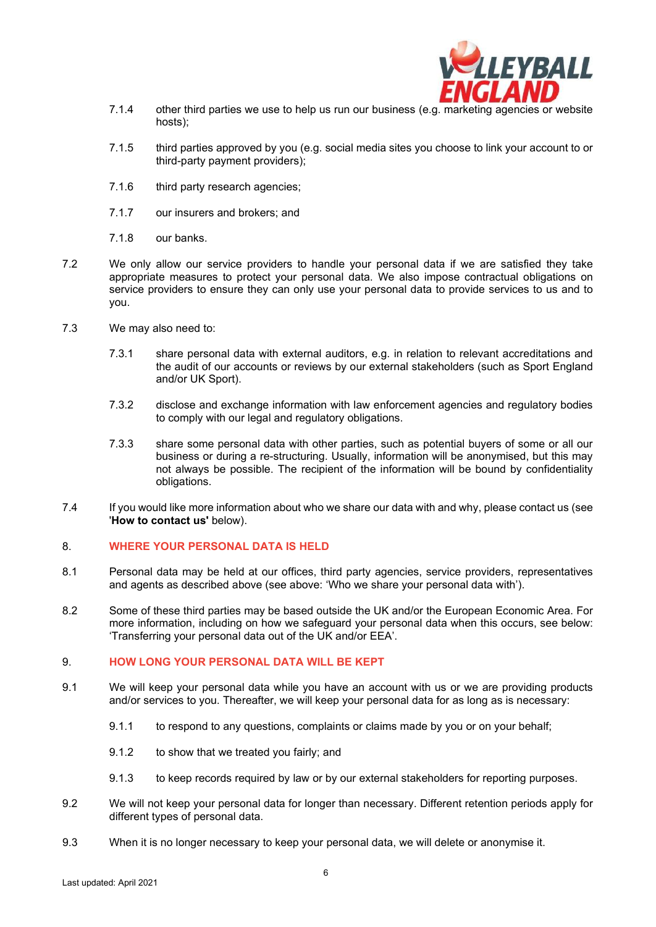

- 7.1.4 other third parties we use to help us run our business (e.g. marketing agencies or website hosts);
- 7.1.5 third parties approved by you (e.g. social media sites you choose to link your account to or third-party payment providers);
- 7.1.6 third party research agencies;
- 7.1.7 our insurers and brokers; and
- 7.1.8 our banks.
- 7.2 We only allow our service providers to handle your personal data if we are satisfied they take appropriate measures to protect your personal data. We also impose contractual obligations on service providers to ensure they can only use your personal data to provide services to us and to you.
- 7.3 We may also need to:
	- 7.3.1 share personal data with external auditors, e.g. in relation to relevant accreditations and the audit of our accounts or reviews by our external stakeholders (such as Sport England and/or UK Sport).
	- 7.3.2 disclose and exchange information with law enforcement agencies and regulatory bodies to comply with our legal and regulatory obligations.
	- 7.3.3 share some personal data with other parties, such as potential buyers of some or all our business or during a re-structuring. Usually, information will be anonymised, but this may not always be possible. The recipient of the information will be bound by confidentiality obligations.
- 7.4 If you would like more information about who we share our data with and why, please contact us (see '**How to contact us'** below).

## 8. **WHERE YOUR PERSONAL DATA IS HELD**

- 8.1 Personal data may be held at our offices, third party agencies, service providers, representatives and agents as described above (see above: 'Who we share your personal data with').
- 8.2 Some of these third parties may be based outside the UK and/or the European Economic Area. For more information, including on how we safeguard your personal data when this occurs, see below: 'Transferring your personal data out of the UK and/or EEA'.

#### 9. **HOW LONG YOUR PERSONAL DATA WILL BE KEPT**

- 9.1 We will keep your personal data while you have an account with us or we are providing products and/or services to you. Thereafter, we will keep your personal data for as long as is necessary:
	- 9.1.1 to respond to any questions, complaints or claims made by you or on your behalf;
	- 9.1.2 to show that we treated you fairly; and
	- 9.1.3 to keep records required by law or by our external stakeholders for reporting purposes.
- 9.2 We will not keep your personal data for longer than necessary. Different retention periods apply for different types of personal data.
- 9.3 When it is no longer necessary to keep your personal data, we will delete or anonymise it.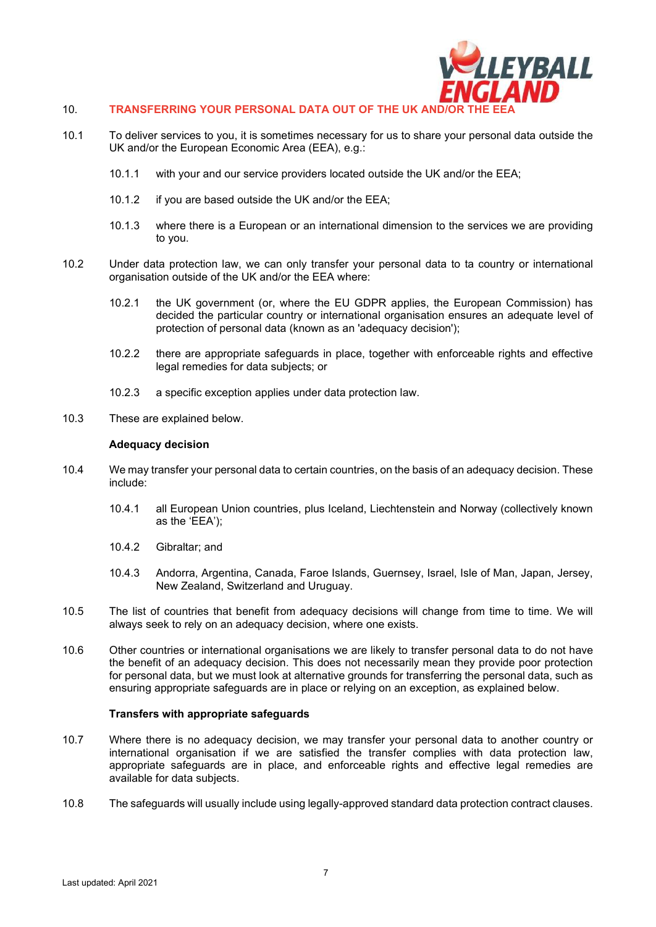

## 10. TRANSFERRING YOUR PERSONAL DATA OUT OF THE UK AND

- 10.1 To deliver services to you, it is sometimes necessary for us to share your personal data outside the UK and/or the European Economic Area (EEA), e.g.:
	- 10.1.1 with your and our service providers located outside the UK and/or the EEA;
	- 10.1.2 if you are based outside the UK and/or the EEA;
	- 10.1.3 where there is a European or an international dimension to the services we are providing to you.
- 10.2 Under data protection law, we can only transfer your personal data to ta country or international organisation outside of the UK and/or the EEA where:
	- 10.2.1 the UK government (or, where the EU GDPR applies, the European Commission) has decided the particular country or international organisation ensures an adequate level of protection of personal data (known as an 'adequacy decision');
	- 10.2.2 there are appropriate safeguards in place, together with enforceable rights and effective legal remedies for data subjects; or
	- 10.2.3 a specific exception applies under data protection law.
- 10.3 These are explained below.

#### **Adequacy decision**

- 10.4 We may transfer your personal data to certain countries, on the basis of an adequacy decision. These include:
	- 10.4.1 all European Union countries, plus Iceland, Liechtenstein and Norway (collectively known as the 'EEA');
	- 10.4.2 Gibraltar; and
	- 10.4.3 Andorra, Argentina, Canada, Faroe Islands, Guernsey, Israel, Isle of Man, Japan, Jersey, New Zealand, Switzerland and Uruguay.
- 10.5 The list of countries that benefit from adequacy decisions will change from time to time. We will always seek to rely on an adequacy decision, where one exists.
- 10.6 Other countries or international organisations we are likely to transfer personal data to do not have the benefit of an adequacy decision. This does not necessarily mean they provide poor protection for personal data, but we must look at alternative grounds for transferring the personal data, such as ensuring appropriate safeguards are in place or relying on an exception, as explained below.

#### **Transfers with appropriate safeguards**

- 10.7 Where there is no adequacy decision, we may transfer your personal data to another country or international organisation if we are satisfied the transfer complies with data protection law, appropriate safeguards are in place, and enforceable rights and effective legal remedies are available for data subjects.
- 10.8 The safeguards will usually include using legally-approved standard data protection contract clauses.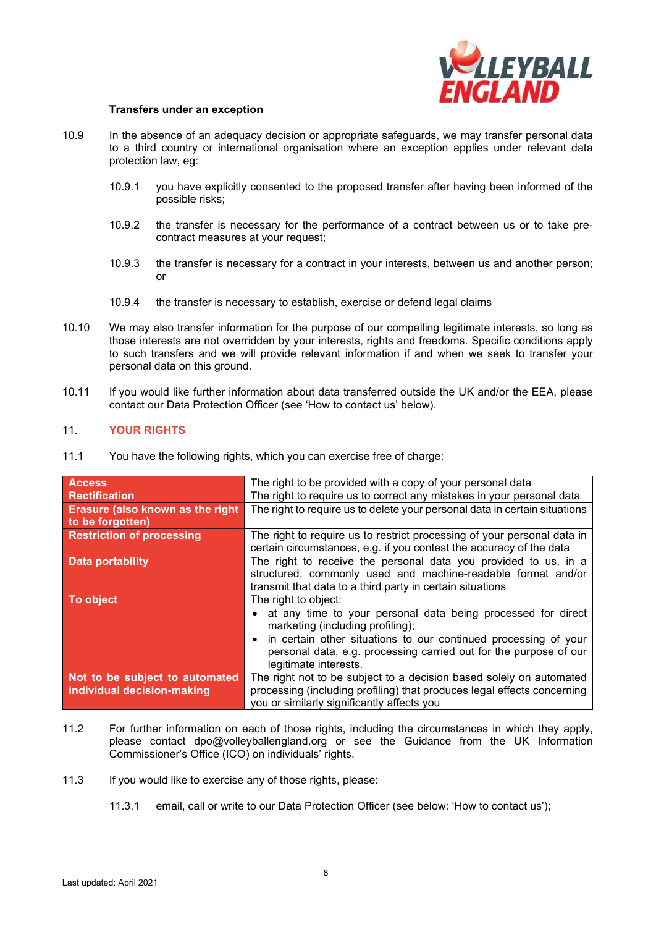

#### **Transfers under an exception**

- 10.9 In the absence of an adequacy decision or appropriate safeguards, we may transfer personal data to a third country or international organisation where an exception applies under relevant data protection law, eg:
	- 10.9.1 you have explicitly consented to the proposed transfer after having been informed of the possible risks;
	- 10.9.2 the transfer is necessary for the performance of a contract between us or to take precontract measures at your request;
	- 10.9.3 the transfer is necessary for a contract in your interests, between us and another person; or
	- 10.9.4 the transfer is necessary to establish, exercise or defend legal claims
- 10.10 We may also transfer information for the purpose of our compelling legitimate interests, so long as those interests are not overridden by your interests, rights and freedoms. Specific conditions apply to such transfers and we will provide relevant information if and when we seek to transfer your personal data on this ground.
- 10.11 If you would like further information about data transferred outside the UK and/or the EEA, please contact our Data Protection Officer (see 'How to contact us' below).

## 11. **YOUR RIGHTS**

| 11.1 |  |  |  |  |  | You have the following rights, which you can exercise free of charge: |
|------|--|--|--|--|--|-----------------------------------------------------------------------|
|------|--|--|--|--|--|-----------------------------------------------------------------------|

| Access                                   | The right to be provided with a copy of your personal data                 |  |
|------------------------------------------|----------------------------------------------------------------------------|--|
| <b>Rectification</b>                     | The right to require us to correct any mistakes in your personal data      |  |
| <b>Erasure (also known as the right)</b> | The right to require us to delete your personal data in certain situations |  |
| to be forgotten)                         |                                                                            |  |
| <b>Restriction of processing</b>         | The right to require us to restrict processing of your personal data in    |  |
|                                          | certain circumstances, e.g. if you contest the accuracy of the data        |  |
| <b>Data portability</b>                  | The right to receive the personal data you provided to us, in a            |  |
|                                          | structured, commonly used and machine-readable format and/or               |  |
|                                          | transmit that data to a third party in certain situations                  |  |
| To object                                | The right to object:                                                       |  |
|                                          | • at any time to your personal data being processed for direct             |  |
|                                          | marketing (including profiling);                                           |  |
|                                          | in certain other situations to our continued processing of your            |  |
|                                          | personal data, e.g. processing carried out for the purpose of our          |  |
|                                          | legitimate interests.                                                      |  |
| Not to be subject to automated           | The right not to be subject to a decision based solely on automated        |  |
| individual decision-making               | processing (including profiling) that produces legal effects concerning    |  |
|                                          | you or similarly significantly affects you                                 |  |

- 11.2 For further information on each of those rights, including the circumstances in which they apply, please contact dpo@volleyballengland.org or see the Guidance from the UK Information Commissioner's Office (ICO) on individuals' rights.
- 11.3 If you would like to exercise any of those rights, please:
	- 11.3.1 email, call or write to our Data Protection Officer (see below: 'How to contact us');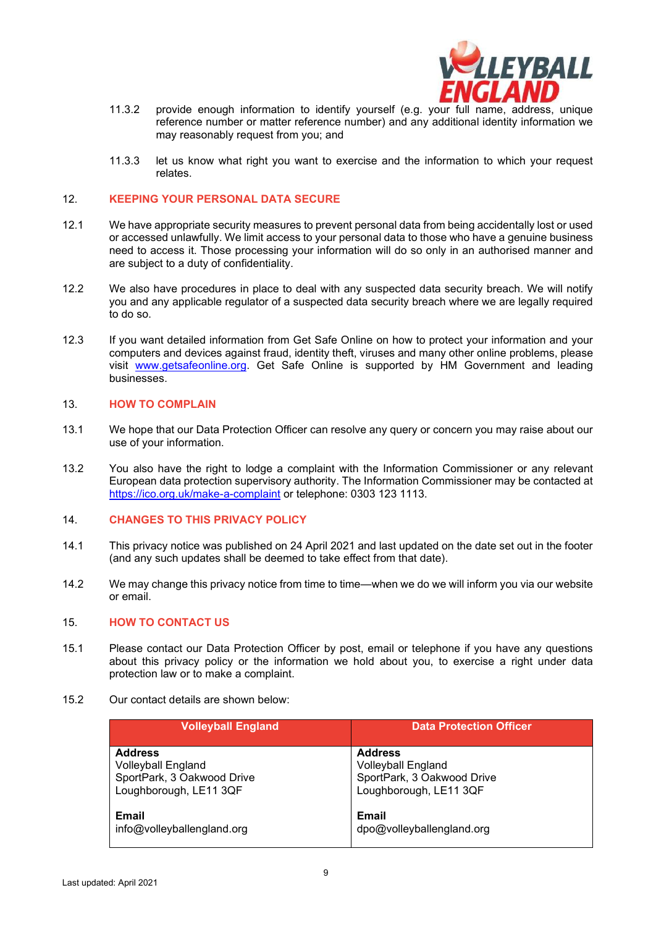

- 11.3.2 provide enough information to identify yourself (e.g. your full name, address, unique reference number or matter reference number) and any additional identity information we may reasonably request from you; and
- 11.3.3 let us know what right you want to exercise and the information to which your request relates.

#### 12. **KEEPING YOUR PERSONAL DATA SECURE**

- 12.1 We have appropriate security measures to prevent personal data from being accidentally lost or used or accessed unlawfully. We limit access to your personal data to those who have a genuine business need to access it. Those processing your information will do so only in an authorised manner and are subject to a duty of confidentiality.
- 12.2 We also have procedures in place to deal with any suspected data security breach. We will notify you and any applicable regulator of a suspected data security breach where we are legally required to do so.
- 12.3 If you want detailed information from Get Safe Online on how to protect your information and your computers and devices against fraud, identity theft, viruses and many other online problems, please visit www.getsafeonline.org. Get Safe Online is supported by HM Government and leading businesses.

## 13. **HOW TO COMPLAIN**

- 13.1 We hope that our Data Protection Officer can resolve any query or concern you may raise about our use of your information.
- 13.2 You also have the right to lodge a complaint with the Information Commissioner or any relevant European data protection supervisory authority. The Information Commissioner may be contacted at https://ico.org.uk/make-a-complaint or telephone: 0303 123 1113.

#### 14. **CHANGES TO THIS PRIVACY POLICY**

- 14.1 This privacy notice was published on 24 April 2021 and last updated on the date set out in the footer (and any such updates shall be deemed to take effect from that date).
- 14.2 We may change this privacy notice from time to time—when we do we will inform you via our website or email.

#### 15. **HOW TO CONTACT US**

- 15.1 Please contact our Data Protection Officer by post, email or telephone if you have any questions about this privacy policy or the information we hold about you, to exercise a right under data protection law or to make a complaint.
- 15.2 Our contact details are shown below:

| <b>Volleyball England</b>  | <b>Data Protection Officer</b> |
|----------------------------|--------------------------------|
| <b>Address</b>             | <b>Address</b>                 |
| <b>Volleyball England</b>  | <b>Volleyball England</b>      |
| SportPark, 3 Oakwood Drive | SportPark, 3 Oakwood Drive     |
| Loughborough, LE11 3QF     | Loughborough, LE11 3QF         |
| <b>Email</b>               | Email                          |
| info@volleyballengland.org | dpo@volleyballengland.org      |